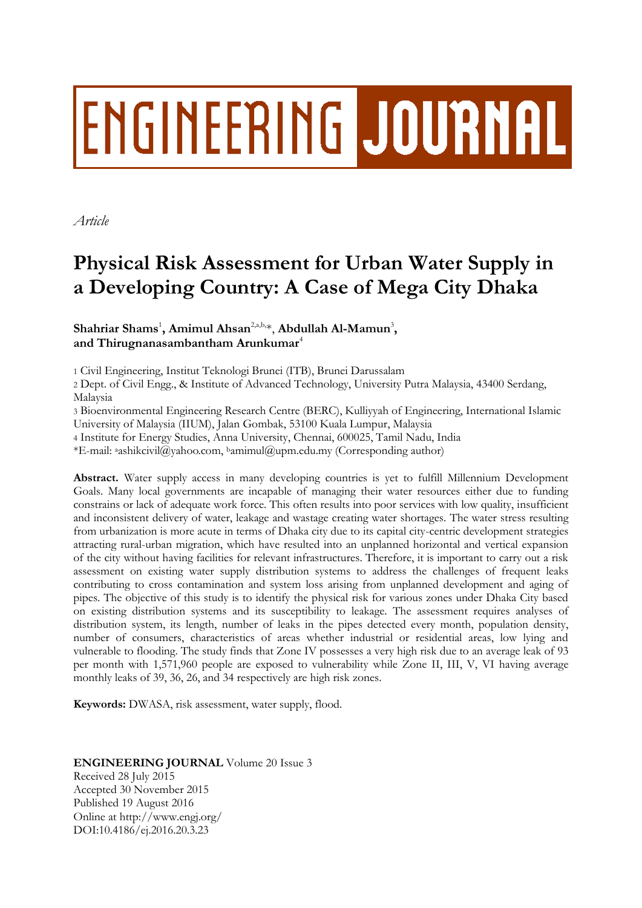# ENGINEERING JOURNAL

*Article*

# **Physical Risk Assessment for Urban Water Supply in a Developing Country: A Case of Mega City Dhaka**

# **Shahriar Shams**<sup>1</sup> **, Amimul Ahsan**2,a,b,\*, **Abdullah Al-Mamun**<sup>3</sup> **,** and Thirugnanasambantham Arunkumar<sup>4</sup>

1 Civil Engineering, Institut Teknologi Brunei (ITB), Brunei Darussalam

2 Dept. of Civil Engg., & Institute of Advanced Technology, University Putra Malaysia, 43400 Serdang, Malaysia

3 Bioenvironmental Engineering Research Centre (BERC), Kulliyyah of Engineering, International Islamic University of Malaysia (IIUM), Jalan Gombak, 53100 Kuala Lumpur, Malaysia

4 Institute for Energy Studies, Anna University, Chennai, 600025, Tamil Nadu, India

\*E-mail: <sup>a</sup>ashikcivil@yahoo.com, <sup>b</sup>amimul@upm.edu.my (Corresponding author)

**Abstract.** Water supply access in many developing countries is yet to fulfill Millennium Development Goals. Many local governments are incapable of managing their water resources either due to funding constrains or lack of adequate work force. This often results into poor services with low quality, insufficient and inconsistent delivery of water, leakage and wastage creating water shortages. The water stress resulting from urbanization is more acute in terms of Dhaka city due to its capital city-centric development strategies attracting rural-urban migration, which have resulted into an unplanned horizontal and vertical expansion of the city without having facilities for relevant infrastructures. Therefore, it is important to carry out a risk assessment on existing water supply distribution systems to address the challenges of frequent leaks contributing to cross contamination and system loss arising from unplanned development and aging of pipes. The objective of this study is to identify the physical risk for various zones under Dhaka City based on existing distribution systems and its susceptibility to leakage. The assessment requires analyses of distribution system, its length, number of leaks in the pipes detected every month, population density, number of consumers, characteristics of areas whether industrial or residential areas, low lying and vulnerable to flooding. The study finds that Zone IV possesses a very high risk due to an average leak of 93 per month with 1,571,960 people are exposed to vulnerability while Zone II, III, V, VI having average monthly leaks of 39, 36, 26, and 34 respectively are high risk zones.

**Keywords:** DWASA, risk assessment, water supply, flood.

# **ENGINEERING JOURNAL** Volume 20 Issue 3 Received 28 July 2015 Accepted 30 November 2015

Published 19 August 2016 Online at http://www.engj.org/ DOI:10.4186/ej.2016.20.3.23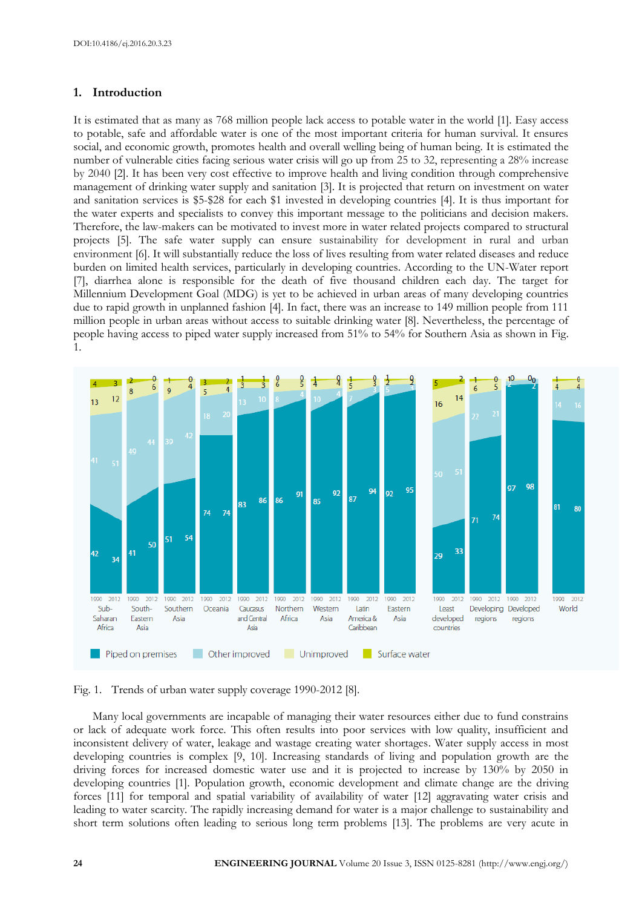# **1. Introduction**

It is estimated that as many as 768 million people lack access to potable water in the world [1]. Easy access to potable, safe and affordable water is one of the most important criteria for human survival. It ensures social, and economic growth, promotes health and overall welling being of human being. It is estimated the number of vulnerable cities facing serious water crisis will go up from 25 to 32, representing a 28% increase by 2040 [2]. It has been very cost effective to improve health and living condition through comprehensive management of drinking water supply and sanitation [3]. It is projected that return on investment on water and sanitation services is \$5-\$28 for each \$1 invested in developing countries [4]. It is thus important for the water experts and specialists to convey this important message to the politicians and decision makers. Therefore, the law-makers can be motivated to invest more in water related projects compared to structural projects [5]. The safe water supply can ensure sustainability for development in rural and urban environment [6]. It will substantially reduce the loss of lives resulting from water related diseases and reduce burden on limited health services, particularly in developing countries. According to the UN-Water report [7], diarrhea alone is responsible for the death of five thousand children each day. The target for Millennium Development Goal (MDG) is yet to be achieved in urban areas of many developing countries due to rapid growth in unplanned fashion [4]. In fact, there was an increase to 149 million people from 111 million people in urban areas without access to suitable drinking water [8]. Nevertheless, the percentage of people having access to piped water supply increased from 51% to 54% for Southern Asia as shown in Fig. 1.





Many local governments are incapable of managing their water resources either due to fund constrains or lack of adequate work force. This often results into poor services with low quality, insufficient and inconsistent delivery of water, leakage and wastage creating water shortages. Water supply access in most developing countries is complex [9, 10]. Increasing standards of living and population growth are the driving forces for increased domestic water use and it is projected to increase by 130% by 2050 in developing countries [1]. Population growth, economic development and climate change are the driving forces [11] for temporal and spatial variability of availability of water [12] aggravating water crisis and leading to water scarcity. The rapidly increasing demand for water is a major challenge to sustainability and short term solutions often leading to serious long term problems [13]. The problems are very acute in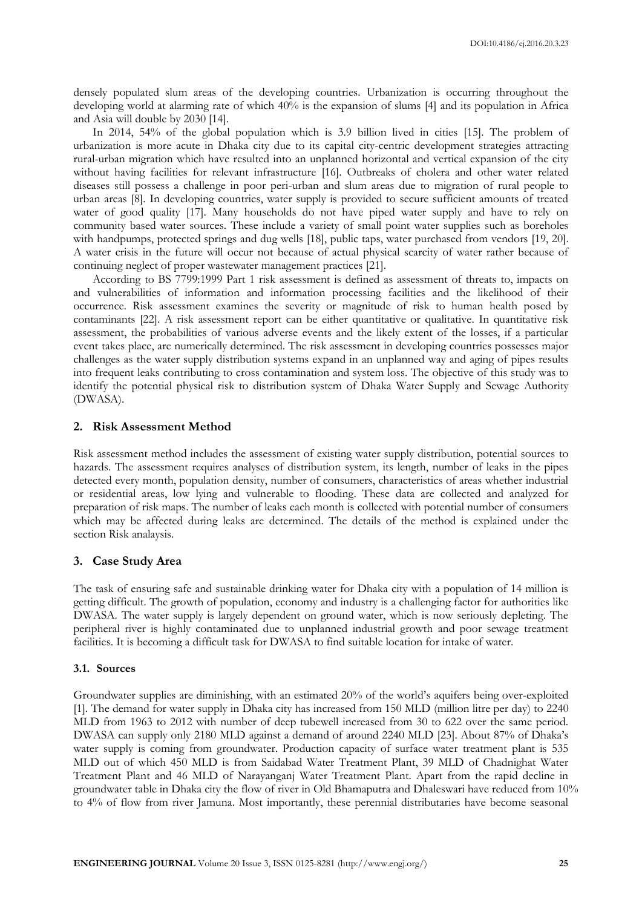densely populated slum areas of the developing countries. Urbanization is occurring throughout the developing world at alarming rate of which 40% is the expansion of slums [4] and its population in Africa and Asia will double by 2030 [14].

In 2014, 54% of the global population which is 3.9 billion lived in cities [15]. The problem of urbanization is more acute in Dhaka city due to its capital city-centric development strategies attracting rural-urban migration which have resulted into an unplanned horizontal and vertical expansion of the city without having facilities for relevant infrastructure [16]. Outbreaks of cholera and other water related diseases still possess a challenge in poor peri-urban and slum areas due to migration of rural people to urban areas [8]. In developing countries, water supply is provided to secure sufficient amounts of treated water of good quality [17]. Many households do not have piped water supply and have to rely on community based water sources. These include a variety of small point water supplies such as boreholes with handpumps, protected springs and dug wells [18], public taps, water purchased from vendors [19, 20]. A water crisis in the future will occur not because of actual physical scarcity of water rather because of continuing neglect of proper wastewater management practices [21].

According to BS 7799:1999 Part 1 risk assessment is defined as assessment of threats to, impacts on and vulnerabilities of information and information processing facilities and the likelihood of their occurrence. Risk assessment examines the severity or magnitude of risk to human health posed by contaminants [22]. A risk assessment report can be either quantitative or qualitative. In quantitative risk assessment, the probabilities of various adverse events and the likely extent of the losses, if a particular event takes place, are numerically determined. The risk assessment in developing countries possesses major challenges as the water supply distribution systems expand in an unplanned way and aging of pipes results into frequent leaks contributing to cross contamination and system loss. The objective of this study was to identify the potential physical risk to distribution system of Dhaka Water Supply and Sewage Authority (DWASA).

#### **2. Risk Assessment Method**

Risk assessment method includes the assessment of existing water supply distribution, potential sources to hazards. The assessment requires analyses of distribution system, its length, number of leaks in the pipes detected every month, population density, number of consumers, characteristics of areas whether industrial or residential areas, low lying and vulnerable to flooding. These data are collected and analyzed for preparation of risk maps. The number of leaks each month is collected with potential number of consumers which may be affected during leaks are determined. The details of the method is explained under the section Risk analaysis.

#### **3. Case Study Area**

The task of ensuring safe and sustainable drinking water for Dhaka city with a population of 14 million is getting difficult. The growth of population, economy and industry is a challenging factor for authorities like DWASA. The water supply is largely dependent on ground water, which is now seriously depleting. The peripheral river is highly contaminated due to unplanned industrial growth and poor sewage treatment facilities. It is becoming a difficult task for DWASA to find suitable location for intake of water.

#### **3.1. Sources**

Groundwater supplies are diminishing, with an estimated 20% of the world's aquifers being over-exploited [1]. The demand for water supply in Dhaka city has increased from 150 MLD (million litre per day) to 2240 MLD from 1963 to 2012 with number of deep tubewell increased from 30 to 622 over the same period. DWASA can supply only 2180 MLD against a demand of around 2240 MLD [23]. About 87% of Dhaka's water supply is coming from groundwater. Production capacity of surface water treatment plant is 535 MLD out of which 450 MLD is from Saidabad Water Treatment Plant, 39 MLD of Chadnighat Water Treatment Plant and 46 MLD of Narayanganj Water Treatment Plant. Apart from the rapid decline in groundwater table in Dhaka city the flow of river in Old Bhamaputra and Dhaleswari have reduced from 10% to 4% of flow from river Jamuna. Most importantly, these perennial distributaries have become seasonal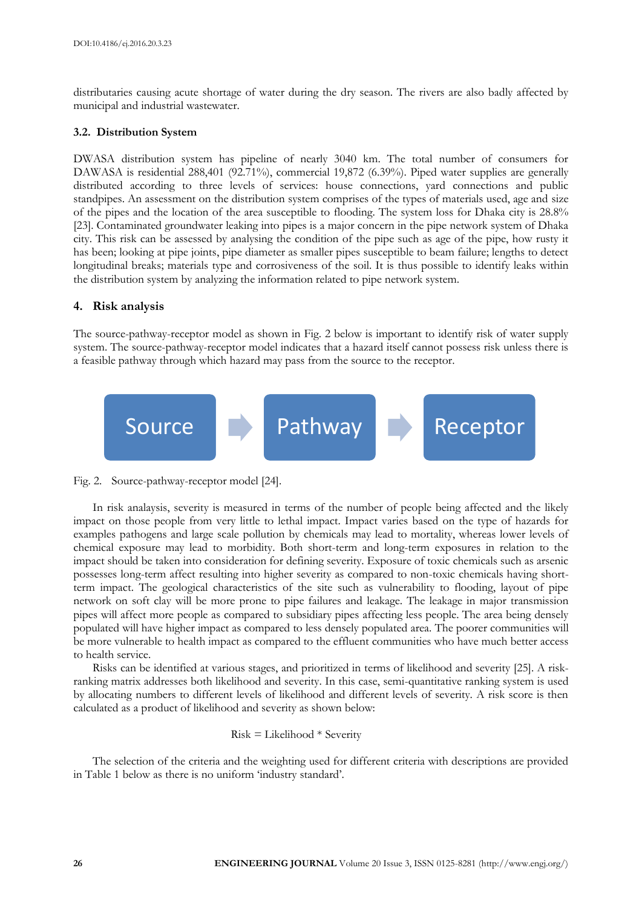distributaries causing acute shortage of water during the dry season. The rivers are also badly affected by municipal and industrial wastewater.

#### **3.2. Distribution System**

DWASA distribution system has pipeline of nearly 3040 km. The total number of consumers for DAWASA is residential 288,401 (92.71%), commercial 19,872 (6.39%). Piped water supplies are generally distributed according to three levels of services: house connections, yard connections and public standpipes. An assessment on the distribution system comprises of the types of materials used, age and size of the pipes and the location of the area susceptible to flooding. The system loss for Dhaka city is 28.8% [23]. Contaminated groundwater leaking into pipes is a major concern in the pipe network system of Dhaka city. This risk can be assessed by analysing the condition of the pipe such as age of the pipe, how rusty it has been; looking at pipe joints, pipe diameter as smaller pipes susceptible to beam failure; lengths to detect longitudinal breaks; materials type and corrosiveness of the soil. It is thus possible to identify leaks within the distribution system by analyzing the information related to pipe network system.

## **4. Risk analysis**

The source-pathway-receptor model as shown in Fig. 2 below is important to identify risk of water supply system. The source-pathway-receptor model indicates that a hazard itself cannot possess risk unless there is a feasible pathway through which hazard may pass from the source to the receptor.



Fig. 2. Source-pathway-receptor model [24].

In risk analaysis, severity is measured in terms of the number of people being affected and the likely impact on those people from very little to lethal impact. Impact varies based on the type of hazards for examples pathogens and large scale pollution by chemicals may lead to mortality, whereas lower levels of chemical exposure may lead to morbidity. Both short-term and long-term exposures in relation to the impact should be taken into consideration for defining severity. Exposure of toxic chemicals such as arsenic possesses long-term affect resulting into higher severity as compared to non-toxic chemicals having shortterm impact. The geological characteristics of the site such as vulnerability to flooding, layout of pipe network on soft clay will be more prone to pipe failures and leakage. The leakage in major transmission pipes will affect more people as compared to subsidiary pipes affecting less people. The area being densely populated will have higher impact as compared to less densely populated area. The poorer communities will be more vulnerable to health impact as compared to the effluent communities who have much better access to health service.

Risks can be identified at various stages, and prioritized in terms of likelihood and severity [25]. A riskranking matrix addresses both likelihood and severity. In this case, semi-quantitative ranking system is used by allocating numbers to different levels of likelihood and different levels of severity. A risk score is then calculated as a product of likelihood and severity as shown below:

Risk = Likelihood 
$$
*
$$
 Severity

The selection of the criteria and the weighting used for different criteria with descriptions are provided in Table 1 below as there is no uniform 'industry standard'.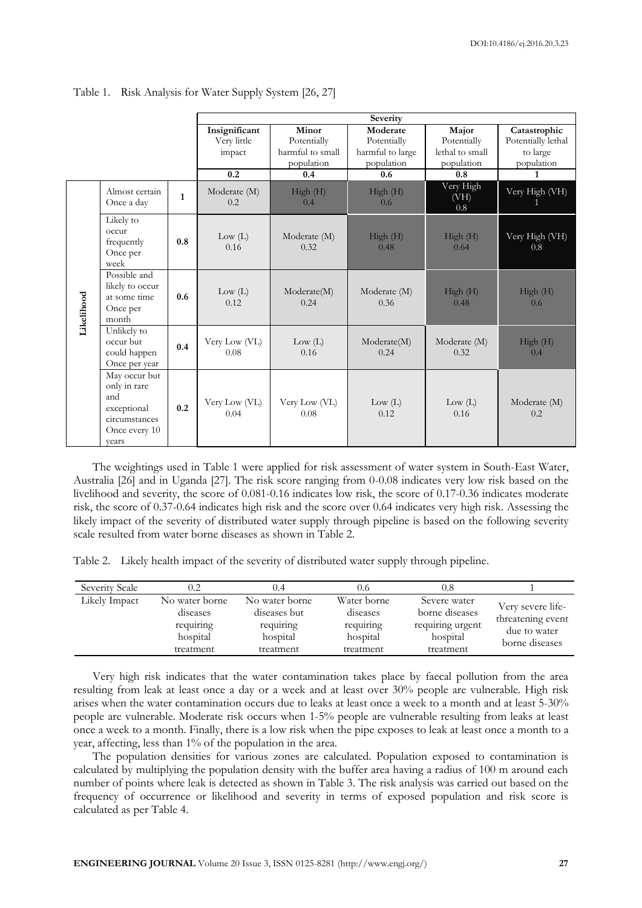|            |                                                                                                |                              | Severity                                 |                                             |                                         |                                    |                        |  |
|------------|------------------------------------------------------------------------------------------------|------------------------------|------------------------------------------|---------------------------------------------|-----------------------------------------|------------------------------------|------------------------|--|
|            |                                                                                                | Insignificant<br>Very little | Minor<br>Potentially<br>harmful to small | Moderate<br>Potentially<br>harmful to large | Major<br>Potentially<br>lethal to small | Catastrophic<br>Potentially lethal |                        |  |
|            |                                                                                                |                              | impact                                   | population                                  | population                              | population                         | to large<br>population |  |
|            |                                                                                                |                              | 0.2                                      | 0.4                                         | 0.6                                     | 0.8                                | 1                      |  |
|            | Almost certain<br>Once a day                                                                   | $\mathbf{1}$                 | Moderate (M)<br>0.2                      | High (H)<br>0.4                             | High (H)<br>0.6                         | Very High<br>(VH)<br>0.8           | Very High (VH)         |  |
| Likelihood | Likely to<br>occur<br>frequently<br>Once per<br>week                                           | 0.8                          | Low (L)<br>0.16                          | Moderate (M)<br>0.32                        | High (H)<br>0.48                        | High (H)<br>0.64                   | Very High (VH)<br>0.8  |  |
|            | Possible and<br>likely to occur<br>at some time<br>Once per<br>month                           | 0.6                          | Low (L)<br>0.12                          | Moderate(M)<br>0.24                         | Moderate (M)<br>0.36                    | High(H)<br>0.48                    | High(H)<br>0.6         |  |
|            | Unlikely to<br>occur but<br>could happen<br>Once per year                                      | Very Low (VL)<br>0.4<br>0.08 |                                          | Low (L)<br>0.16                             | Moderate(M)<br>0.24                     | Moderate (M)<br>0.32               | High(H)<br>0.4         |  |
|            | May occur but<br>only in rare<br>and<br>exceptional<br>circumstances<br>Once every 10<br>vears | 0.2                          | Very Low (VL)<br>0.04                    | Very Low (VL)<br>0.08                       | Low (L)<br>0.12                         | Low (L)<br>0.16                    | Moderate (M)<br>0.2    |  |

Table 1. Risk Analysis for Water Supply System [26, 27]

The weightings used in Table 1 were applied for risk assessment of water system in South-East Water, Australia [26] and in Uganda [27]. The risk score ranging from 0-0.08 indicates very low risk based on the livelihood and severity, the score of 0.081-0.16 indicates low risk, the score of 0.17-0.36 indicates moderate risk, the score of 0.37-0.64 indicates high risk and the score over 0.64 indicates very high risk. Assessing the likely impact of the severity of distributed water supply through pipeline is based on the following severity scale resulted from water borne diseases as shown in Table 2.

|  |  | Table 2. Likely health impact of the severity of distributed water supply through pipeline. |  |
|--|--|---------------------------------------------------------------------------------------------|--|
|  |  |                                                                                             |  |

| Severity Scale | 0.2                                     | 0.4                                         | 0.6                                  | 0.8                                                |                                                        |  |
|----------------|-----------------------------------------|---------------------------------------------|--------------------------------------|----------------------------------------------------|--------------------------------------------------------|--|
| Likely Impact  | No water borne<br>diseases<br>requiring | No water borne<br>diseases but<br>requiring | Water borne<br>diseases<br>requiring | Severe water<br>borne diseases<br>requiring urgent | Very severe life-<br>threatening event<br>due to water |  |
|                | hospital                                | hospital                                    | hospital                             | hospital<br>treatment                              | borne diseases                                         |  |
|                | treatment                               | treatment                                   | treatment                            |                                                    |                                                        |  |

Very high risk indicates that the water contamination takes place by faecal pollution from the area resulting from leak at least once a day or a week and at least over 30% people are vulnerable. High risk arises when the water contamination occurs due to leaks at least once a week to a month and at least 5-30% people are vulnerable. Moderate risk occurs when 1-5% people are vulnerable resulting from leaks at least once a week to a month. Finally, there is a low risk when the pipe exposes to leak at least once a month to a year, affecting, less than 1% of the population in the area.

The population densities for various zones are calculated. Population exposed to contamination is calculated by multiplying the population density with the buffer area having a radius of 100 m around each number of points where leak is detected as shown in Table 3. The risk analysis was carried out based on the frequency of occurrence or likelihood and severity in terms of exposed population and risk score is calculated as per Table 4.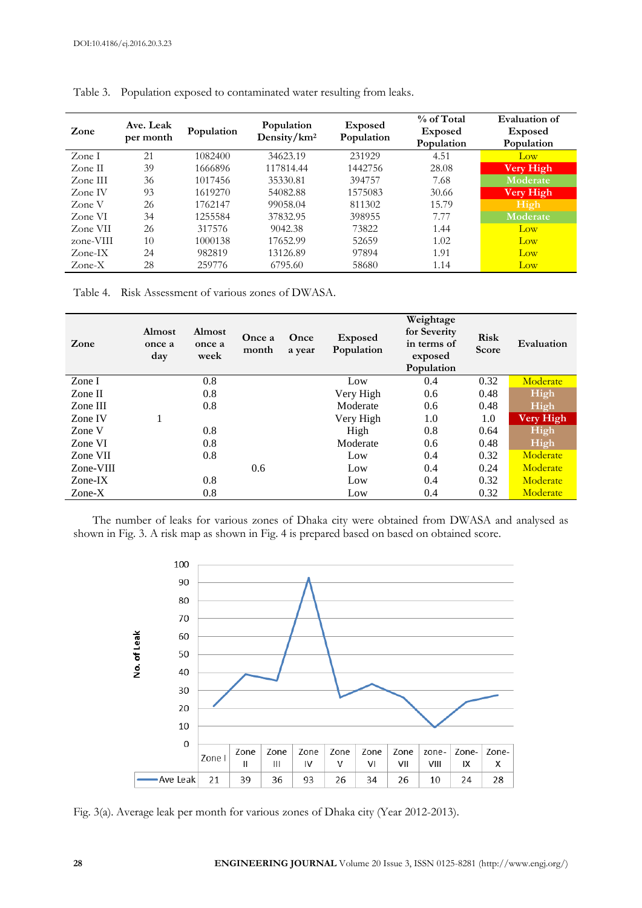| Zone                              | Ave. Leak<br>per month | Population | Population<br>Density/km <sup>2</sup> | <b>Exposed</b><br>Population | % of Total<br><b>Exposed</b><br>Population | Evaluation of<br><b>Exposed</b><br>Population |
|-----------------------------------|------------------------|------------|---------------------------------------|------------------------------|--------------------------------------------|-----------------------------------------------|
| Zone I                            | 21                     | 1082400    | 34623.19                              | 231929                       | 4.51                                       | Low                                           |
| Zone II                           | 39                     | 1666896    | 117814.44                             | 1442756                      | 28.08                                      | Very High                                     |
| Zone III                          | 36                     | 1017456    | 35330.81                              | 394757                       | 7.68                                       | Moderate                                      |
| Zone IV                           | 93                     | 1619270    | 54082.88                              | 1575083                      | 30.66                                      | <b>Very High</b>                              |
| Zone V                            | 26                     | 1762147    | 99058.04                              | 811302                       | 15.79                                      | High                                          |
| Zone VI                           | 34                     | 1255584    | 37832.95                              | 398955                       | 7.77                                       | Moderate                                      |
| Zone VII                          | 26                     | 317576     | 9042.38                               | 73822                        | 1.44                                       | Low                                           |
| zone-VIII                         | 10                     | 1000138    | 17652.99                              | 52659                        | 1.02                                       | Low                                           |
| $\text{Zone-IX}$                  | 24                     | 982819     | 13126.89                              | 97894                        | 1.91                                       | Low                                           |
| $\mathsf{Zone}\text{-}\mathsf{X}$ | 28                     | 259776     | 6795.60                               | 58680                        | 1.14                                       | Low                                           |

Table 3. Population exposed to contaminated water resulting from leaks.

Table 4. Risk Assessment of various zones of DWASA.

| Zone                              | <b>Almost</b><br>once a<br>day | <b>Almost</b><br>once a<br>week | Once a<br>month | Once<br>a year | Exposed<br>Population | Weightage<br>for Severity<br>in terms of<br>exposed<br>Population | <b>Risk</b><br>Score | Evaluation       |
|-----------------------------------|--------------------------------|---------------------------------|-----------------|----------------|-----------------------|-------------------------------------------------------------------|----------------------|------------------|
| Zone I                            |                                | 0.8                             |                 |                | Low                   | 0.4                                                               | 0.32                 | Moderate         |
| Zone II                           |                                | 0.8                             |                 |                | Very High             | 0.6                                                               | 0.48                 | High             |
| Zone III                          |                                | 0.8                             |                 |                | Moderate              | 0.6                                                               | 0.48                 | High             |
| Zone IV                           |                                |                                 |                 |                | Very High             | 1.0                                                               | 1.0                  | <b>Very High</b> |
| Zone V                            |                                | 0.8                             |                 |                | High                  | 0.8                                                               | 0.64                 | High             |
| Zone VI                           |                                | 0.8                             |                 |                | Moderate              | 0.6                                                               | 0.48                 | High             |
| Zone VII                          |                                | 0.8                             |                 |                | Low                   | 0.4                                                               | 0.32                 | Moderate         |
| Zone-VIII                         |                                |                                 | 0.6             |                | Low                   | 0.4                                                               | 0.24                 | Moderate         |
| $\text{Zone-IX}$                  |                                | 0.8                             |                 |                | Low                   | 0.4                                                               | 0.32                 | Moderate         |
| $\mathsf{Zone}\text{-}\mathsf{X}$ |                                | 0.8                             |                 |                | Low                   | 0.4                                                               | 0.32                 | Moderate         |

The number of leaks for various zones of Dhaka city were obtained from DWASA and analysed as shown in Fig. 3. A risk map as shown in Fig. 4 is prepared based on based on obtained score.



Fig. 3(a). Average leak per month for various zones of Dhaka city (Year 2012-2013).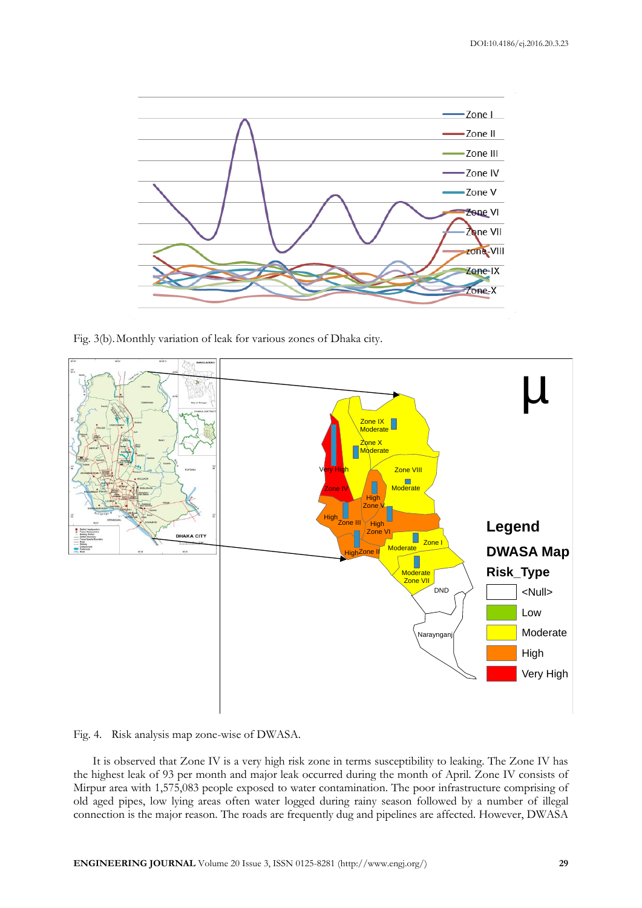

Fig. 3(b).Monthly variation of leak for various zones of Dhaka city.



Fig. 4. Risk analysis map zone-wise of DWASA.

It is observed that Zone IV is a very high risk zone in terms susceptibility to leaking. The Zone IV has the highest leak of 93 per month and major leak occurred during the month of April. Zone IV consists of Mirpur area with 1,575,083 people exposed to water contamination. The poor infrastructure comprising of old aged pipes, low lying areas often water logged during rainy season followed by a number of illegal connection is the major reason. The roads are frequently dug and pipelines are affected. However, DWASA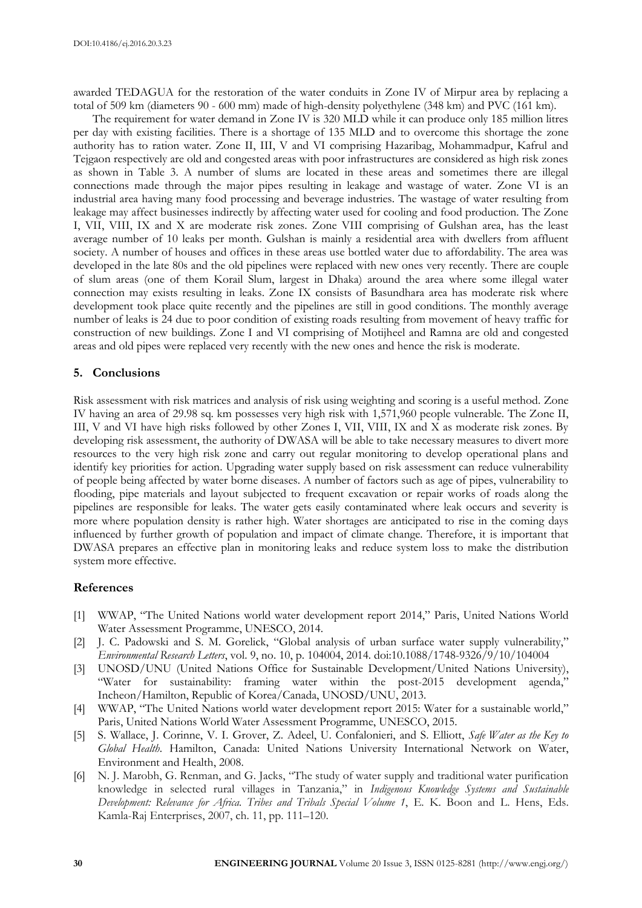awarded TEDAGUA for the restoration of the water conduits in Zone IV of Mirpur area by replacing a total of 509 km (diameters 90 - 600 mm) made of high-density polyethylene (348 km) and PVC (161 km).

The requirement for water demand in Zone IV is 320 MLD while it can produce only 185 million litres per day with existing facilities. There is a shortage of 135 MLD and to overcome this shortage the zone authority has to ration water. Zone II, III, V and VI comprising Hazaribag, Mohammadpur, Kafrul and Tejgaon respectively are old and congested areas with poor infrastructures are considered as high risk zones as shown in Table 3. A number of slums are located in these areas and sometimes there are illegal connections made through the major pipes resulting in leakage and wastage of water. Zone VI is an industrial area having many food processing and beverage industries. The wastage of water resulting from leakage may affect businesses indirectly by affecting water used for cooling and food production. The Zone I, VII, VIII, IX and X are moderate risk zones. Zone VIII comprising of Gulshan area, has the least average number of 10 leaks per month. Gulshan is mainly a residential area with dwellers from affluent society. A number of houses and offices in these areas use bottled water due to affordability. The area was developed in the late 80s and the old pipelines were replaced with new ones very recently. There are couple of slum areas (one of them Korail Slum, largest in Dhaka) around the area where some illegal water connection may exists resulting in leaks. Zone IX consists of Basundhara area has moderate risk where development took place quite recently and the pipelines are still in good conditions. The monthly average number of leaks is 24 due to poor condition of existing roads resulting from movement of heavy traffic for construction of new buildings. Zone I and VI comprising of Motijheel and Ramna are old and congested areas and old pipes were replaced very recently with the new ones and hence the risk is moderate.

#### **5. Conclusions**

Risk assessment with risk matrices and analysis of risk using weighting and scoring is a useful method. Zone IV having an area of 29.98 sq. km possesses very high risk with 1,571,960 people vulnerable. The Zone II, III, V and VI have high risks followed by other Zones I, VII, VIII, IX and X as moderate risk zones. By developing risk assessment, the authority of DWASA will be able to take necessary measures to divert more resources to the very high risk zone and carry out regular monitoring to develop operational plans and identify key priorities for action. Upgrading water supply based on risk assessment can reduce vulnerability of people being affected by water borne diseases. A number of factors such as age of pipes, vulnerability to flooding, pipe materials and layout subjected to frequent excavation or repair works of roads along the pipelines are responsible for leaks. The water gets easily contaminated where leak occurs and severity is more where population density is rather high. Water shortages are anticipated to rise in the coming days influenced by further growth of population and impact of climate change. Therefore, it is important that DWASA prepares an effective plan in monitoring leaks and reduce system loss to make the distribution system more effective.

#### **References**

- [1] WWAP, "The United Nations world water development report 2014," Paris, United Nations World Water Assessment Programme, UNESCO, 2014.
- [2] J. C. Padowski and S. M. Gorelick, "Global analysis of urban surface water supply vulnerability," *Environmental Research Letters*, vol. 9, no. 10, p. 104004, 2014. doi:10.1088/1748-9326/9/10/104004
- [3] UNOSD/UNU (United Nations Office for Sustainable Development/United Nations University), "Water for sustainability: framing water within the post-2015 development agenda," Incheon/Hamilton, Republic of Korea/Canada, UNOSD/UNU, 2013.
- [4] WWAP, "The United Nations world water development report 2015: Water for a sustainable world," Paris, United Nations World Water Assessment Programme, UNESCO, 2015.
- [5] S. Wallace, J. Corinne, V. I. Grover, Z. Adeel, U. Confalonieri, and S. Elliott, *Safe Water as the Key to Global Health*. Hamilton, Canada: United Nations University International Network on Water, Environment and Health, 2008.
- [6] N. J. Marobh, G. Renman, and G. Jacks, "The study of water supply and traditional water purification knowledge in selected rural villages in Tanzania," in *Indigenous Knowledge Systems and Sustainable Development: Relevance for Africa. Tribes and Tribals Special Volume 1*, E. K. Boon and L. Hens, Eds. Kamla-Raj Enterprises, 2007, ch. 11, pp. 111–120.